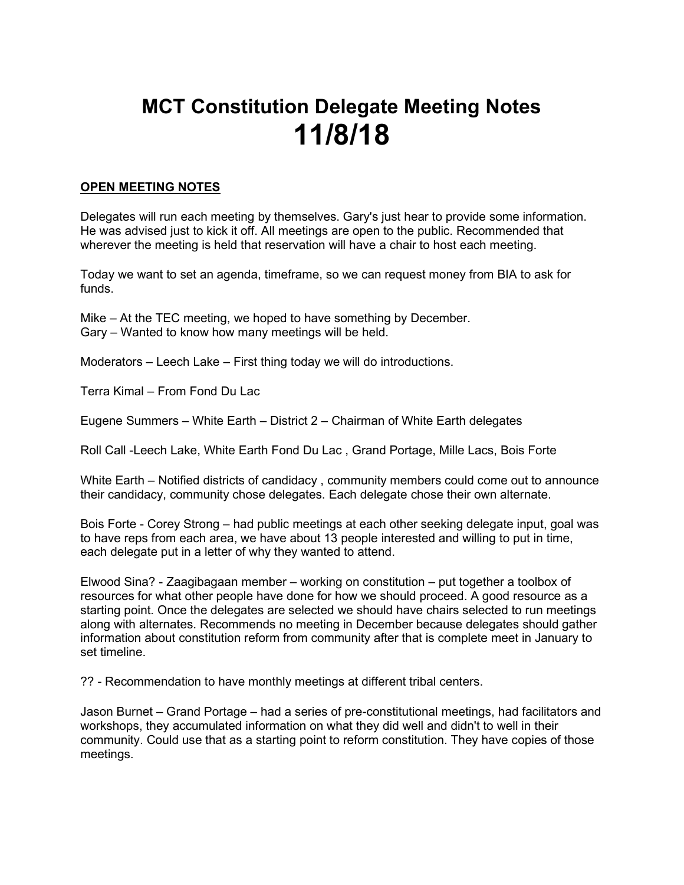## MCT Constitution Delegate Meeting Notes 11/8/18

## OPEN MEETING NOTES

Delegates will run each meeting by themselves. Gary's just hear to provide some information. He was advised just to kick it off. All meetings are open to the public. Recommended that wherever the meeting is held that reservation will have a chair to host each meeting.

Today we want to set an agenda, timeframe, so we can request money from BIA to ask for funds.

Mike – At the TEC meeting, we hoped to have something by December. Gary – Wanted to know how many meetings will be held.

Moderators – Leech Lake – First thing today we will do introductions.

Terra Kimal – From Fond Du Lac

Eugene Summers – White Earth – District 2 – Chairman of White Earth delegates

Roll Call -Leech Lake, White Earth Fond Du Lac , Grand Portage, Mille Lacs, Bois Forte

White Earth – Notified districts of candidacy , community members could come out to announce their candidacy, community chose delegates. Each delegate chose their own alternate.

Bois Forte - Corey Strong – had public meetings at each other seeking delegate input, goal was to have reps from each area, we have about 13 people interested and willing to put in time, each delegate put in a letter of why they wanted to attend.

Elwood Sina? - Zaagibagaan member – working on constitution – put together a toolbox of resources for what other people have done for how we should proceed. A good resource as a starting point. Once the delegates are selected we should have chairs selected to run meetings along with alternates. Recommends no meeting in December because delegates should gather information about constitution reform from community after that is complete meet in January to set timeline.

?? - Recommendation to have monthly meetings at different tribal centers.

Jason Burnet – Grand Portage – had a series of pre-constitutional meetings, had facilitators and workshops, they accumulated information on what they did well and didn't to well in their community. Could use that as a starting point to reform constitution. They have copies of those meetings.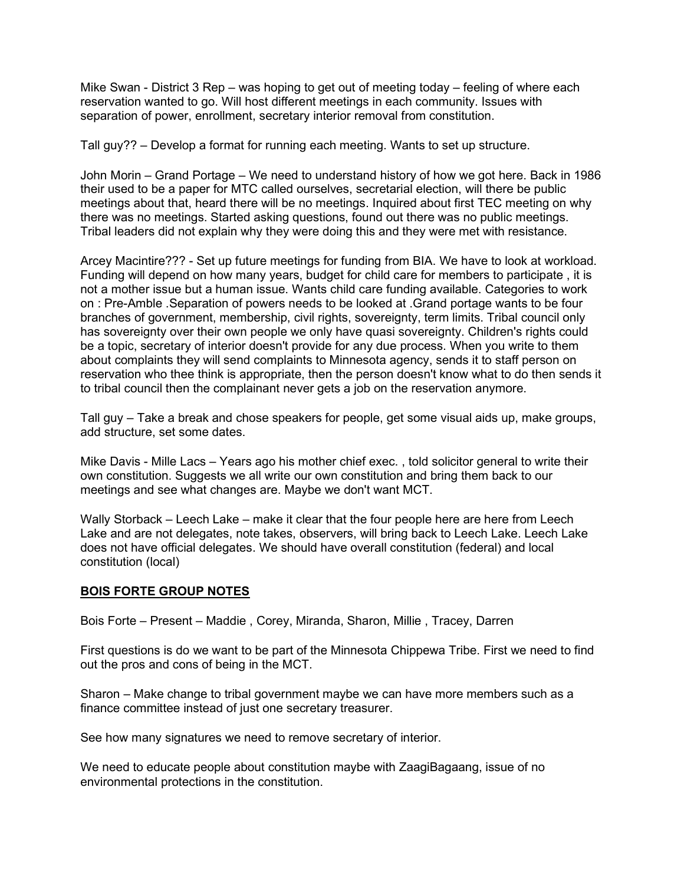Mike Swan - District 3 Rep – was hoping to get out of meeting today – feeling of where each reservation wanted to go. Will host different meetings in each community. Issues with separation of power, enrollment, secretary interior removal from constitution.

Tall guy?? – Develop a format for running each meeting. Wants to set up structure.

John Morin – Grand Portage – We need to understand history of how we got here. Back in 1986 their used to be a paper for MTC called ourselves, secretarial election, will there be public meetings about that, heard there will be no meetings. Inquired about first TEC meeting on why there was no meetings. Started asking questions, found out there was no public meetings. Tribal leaders did not explain why they were doing this and they were met with resistance.

Arcey Macintire??? - Set up future meetings for funding from BIA. We have to look at workload. Funding will depend on how many years, budget for child care for members to participate , it is not a mother issue but a human issue. Wants child care funding available. Categories to work on : Pre-Amble .Separation of powers needs to be looked at .Grand portage wants to be four branches of government, membership, civil rights, sovereignty, term limits. Tribal council only has sovereignty over their own people we only have quasi sovereignty. Children's rights could be a topic, secretary of interior doesn't provide for any due process. When you write to them about complaints they will send complaints to Minnesota agency, sends it to staff person on reservation who thee think is appropriate, then the person doesn't know what to do then sends it to tribal council then the complainant never gets a job on the reservation anymore.

Tall guy – Take a break and chose speakers for people, get some visual aids up, make groups, add structure, set some dates.

Mike Davis - Mille Lacs – Years ago his mother chief exec. , told solicitor general to write their own constitution. Suggests we all write our own constitution and bring them back to our meetings and see what changes are. Maybe we don't want MCT.

Wally Storback – Leech Lake – make it clear that the four people here are here from Leech Lake and are not delegates, note takes, observers, will bring back to Leech Lake. Leech Lake does not have official delegates. We should have overall constitution (federal) and local constitution (local)

## BOIS FORTE GROUP NOTES

Bois Forte – Present – Maddie , Corey, Miranda, Sharon, Millie , Tracey, Darren

First questions is do we want to be part of the Minnesota Chippewa Tribe. First we need to find out the pros and cons of being in the MCT.

Sharon – Make change to tribal government maybe we can have more members such as a finance committee instead of just one secretary treasurer.

See how many signatures we need to remove secretary of interior.

We need to educate people about constitution maybe with ZaagiBagaang, issue of no environmental protections in the constitution.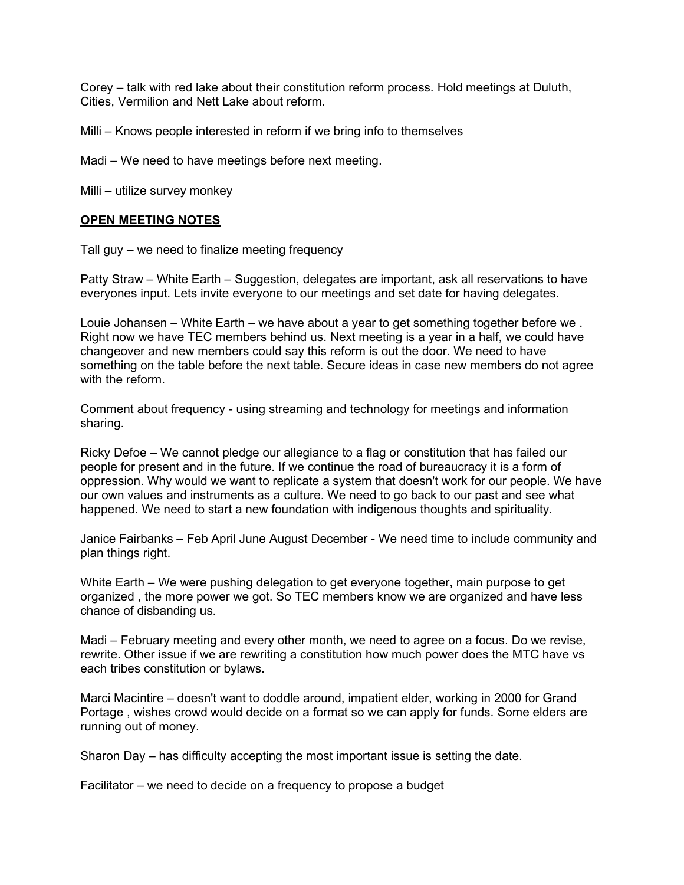Corey – talk with red lake about their constitution reform process. Hold meetings at Duluth, Cities, Vermilion and Nett Lake about reform.

Milli – Knows people interested in reform if we bring info to themselves

Madi – We need to have meetings before next meeting.

Milli – utilize survey monkey

## OPEN MEETING NOTES

Tall guy – we need to finalize meeting frequency

Patty Straw – White Earth – Suggestion, delegates are important, ask all reservations to have everyones input. Lets invite everyone to our meetings and set date for having delegates.

Louie Johansen – White Earth – we have about a year to get something together before we . Right now we have TEC members behind us. Next meeting is a year in a half, we could have changeover and new members could say this reform is out the door. We need to have something on the table before the next table. Secure ideas in case new members do not agree with the reform.

Comment about frequency - using streaming and technology for meetings and information sharing.

Ricky Defoe – We cannot pledge our allegiance to a flag or constitution that has failed our people for present and in the future. If we continue the road of bureaucracy it is a form of oppression. Why would we want to replicate a system that doesn't work for our people. We have our own values and instruments as a culture. We need to go back to our past and see what happened. We need to start a new foundation with indigenous thoughts and spirituality.

Janice Fairbanks – Feb April June August December - We need time to include community and plan things right.

White Earth – We were pushing delegation to get everyone together, main purpose to get organized , the more power we got. So TEC members know we are organized and have less chance of disbanding us.

Madi – February meeting and every other month, we need to agree on a focus. Do we revise, rewrite. Other issue if we are rewriting a constitution how much power does the MTC have vs each tribes constitution or bylaws.

Marci Macintire – doesn't want to doddle around, impatient elder, working in 2000 for Grand Portage , wishes crowd would decide on a format so we can apply for funds. Some elders are running out of money.

Sharon Day – has difficulty accepting the most important issue is setting the date.

Facilitator – we need to decide on a frequency to propose a budget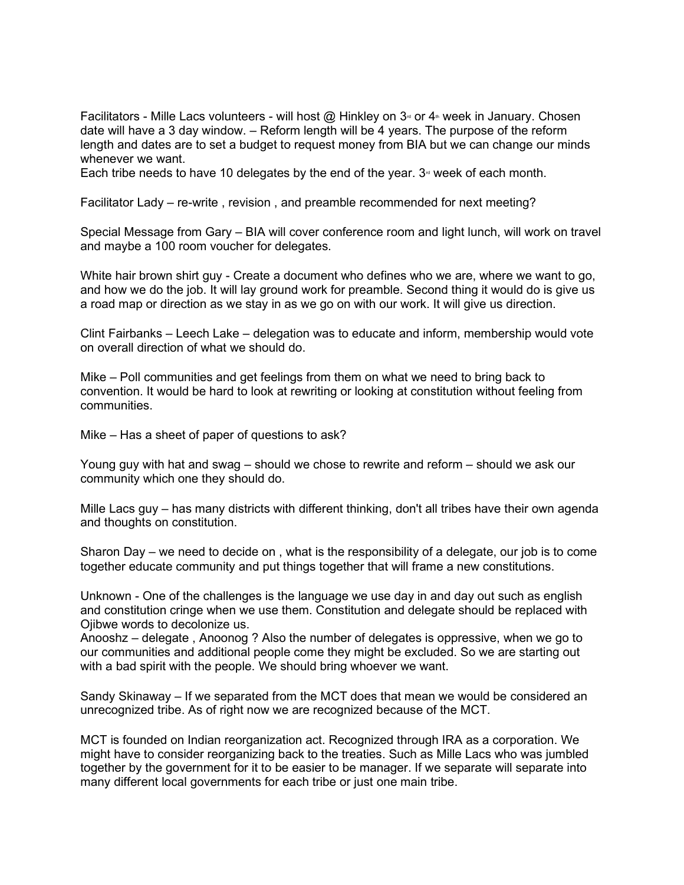Facilitators - Mille Lacs volunteers - will host  $@$  Hinkley on  $3<sup>d</sup>$  or  $4<sup>b</sup>$  week in January. Chosen date will have a 3 day window. – Reform length will be 4 years. The purpose of the reform length and dates are to set a budget to request money from BIA but we can change our minds whenever we want.

Each tribe needs to have 10 delegates by the end of the year.  $3<sup>\omega</sup>$  week of each month.

Facilitator Lady – re-write , revision , and preamble recommended for next meeting?

Special Message from Gary – BIA will cover conference room and light lunch, will work on travel and maybe a 100 room voucher for delegates.

White hair brown shirt guy - Create a document who defines who we are, where we want to go, and how we do the job. It will lay ground work for preamble. Second thing it would do is give us a road map or direction as we stay in as we go on with our work. It will give us direction.

Clint Fairbanks – Leech Lake – delegation was to educate and inform, membership would vote on overall direction of what we should do.

Mike – Poll communities and get feelings from them on what we need to bring back to convention. It would be hard to look at rewriting or looking at constitution without feeling from communities.

Mike – Has a sheet of paper of questions to ask?

Young guy with hat and swag – should we chose to rewrite and reform – should we ask our community which one they should do.

Mille Lacs guy – has many districts with different thinking, don't all tribes have their own agenda and thoughts on constitution.

Sharon Day – we need to decide on , what is the responsibility of a delegate, our job is to come together educate community and put things together that will frame a new constitutions.

Unknown - One of the challenges is the language we use day in and day out such as english and constitution cringe when we use them. Constitution and delegate should be replaced with Ojibwe words to decolonize us.

Anooshz – delegate , Anoonog ? Also the number of delegates is oppressive, when we go to our communities and additional people come they might be excluded. So we are starting out with a bad spirit with the people. We should bring whoever we want.

Sandy Skinaway – If we separated from the MCT does that mean we would be considered an unrecognized tribe. As of right now we are recognized because of the MCT.

MCT is founded on Indian reorganization act. Recognized through IRA as a corporation. We might have to consider reorganizing back to the treaties. Such as Mille Lacs who was jumbled together by the government for it to be easier to be manager. If we separate will separate into many different local governments for each tribe or just one main tribe.